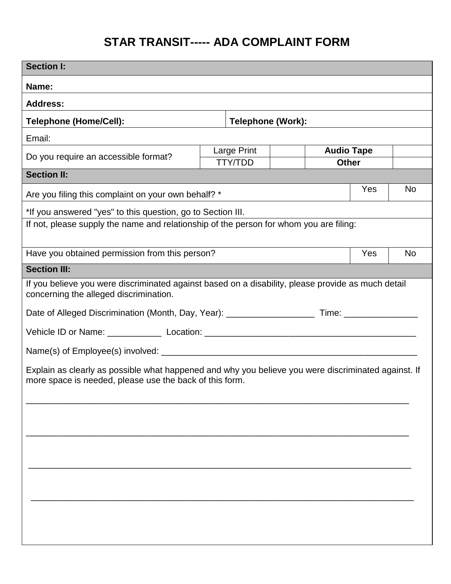## **STAR TRANSIT----- ADA COMPLAINT FORM**

| <b>Section I:</b>                                                                                                                            |  |                               |  |                                   |     |           |
|----------------------------------------------------------------------------------------------------------------------------------------------|--|-------------------------------|--|-----------------------------------|-----|-----------|
| Name:                                                                                                                                        |  |                               |  |                                   |     |           |
| <b>Address:</b>                                                                                                                              |  |                               |  |                                   |     |           |
| <b>Telephone (Home/Cell):</b>                                                                                                                |  | <b>Telephone (Work):</b>      |  |                                   |     |           |
| Email:                                                                                                                                       |  |                               |  |                                   |     |           |
| Do you require an accessible format?                                                                                                         |  | Large Print<br><b>TTY/TDD</b> |  | <b>Audio Tape</b><br><b>Other</b> |     |           |
| <b>Section II:</b>                                                                                                                           |  |                               |  |                                   |     |           |
| Are you filing this complaint on your own behalf? *                                                                                          |  |                               |  |                                   |     | <b>No</b> |
| *If you answered "yes" to this question, go to Section III.                                                                                  |  |                               |  |                                   |     |           |
| If not, please supply the name and relationship of the person for whom you are filing:                                                       |  |                               |  |                                   |     |           |
|                                                                                                                                              |  |                               |  |                                   |     |           |
| Have you obtained permission from this person?                                                                                               |  |                               |  |                                   | Yes | <b>No</b> |
| <b>Section III:</b>                                                                                                                          |  |                               |  |                                   |     |           |
| If you believe you were discriminated against based on a disability, please provide as much detail<br>concerning the alleged discrimination. |  |                               |  |                                   |     |           |
|                                                                                                                                              |  |                               |  |                                   |     |           |
|                                                                                                                                              |  |                               |  |                                   |     |           |
|                                                                                                                                              |  |                               |  |                                   |     |           |
| Explain as clearly as possible what happened and why you believe you were discriminated against. If                                          |  |                               |  |                                   |     |           |
| more space is needed, please use the back of this form.                                                                                      |  |                               |  |                                   |     |           |
|                                                                                                                                              |  |                               |  |                                   |     |           |
|                                                                                                                                              |  |                               |  |                                   |     |           |
|                                                                                                                                              |  |                               |  |                                   |     |           |
|                                                                                                                                              |  |                               |  |                                   |     |           |
|                                                                                                                                              |  |                               |  |                                   |     |           |
|                                                                                                                                              |  |                               |  |                                   |     |           |
|                                                                                                                                              |  |                               |  |                                   |     |           |
|                                                                                                                                              |  |                               |  |                                   |     |           |
|                                                                                                                                              |  |                               |  |                                   |     |           |
|                                                                                                                                              |  |                               |  |                                   |     |           |